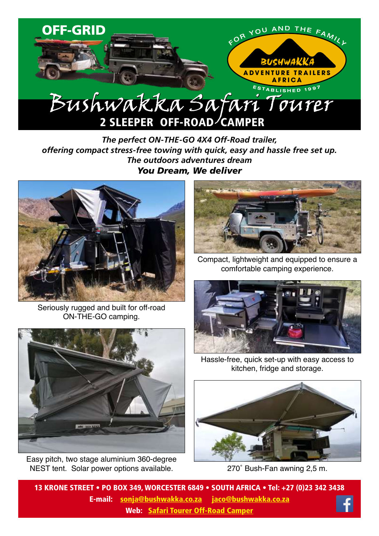

*The perfect ON-THE-GO 4X4 Off-Road trailer, offering compact stress-free towing with quick, easy and hassle free set up. The outdoors adventures dream You Dream, We deliver*



Seriously rugged and built for off-road ON-THE-GO camping.



Easy pitch, two stage aluminium 360-degree NEST tent. Solar power options available.



Compact, lightweight and equipped to ensure a comfortable camping experience.



Hassle-free, quick set-up with easy access to kitchen, fridge and storage.



270˚ Bush-Fan awning 2,5 m.

13 KRONE STREET • PO BOX 349, WORCESTER 6849 • SOUTH AFRICA • Tel: +27 (0)23 342 3438 E-mail: sonja@bushwakka.co.za jaco@bushwakka.co.za Web: [Safari Tourer Off-Road](https://bushwakka.co.za/safari-tourer-4x4-off-road-trailer/?utm_source=website&utm_medium=ebrochure&utm_campaign=tourer&utm_id=TOURER) Camper